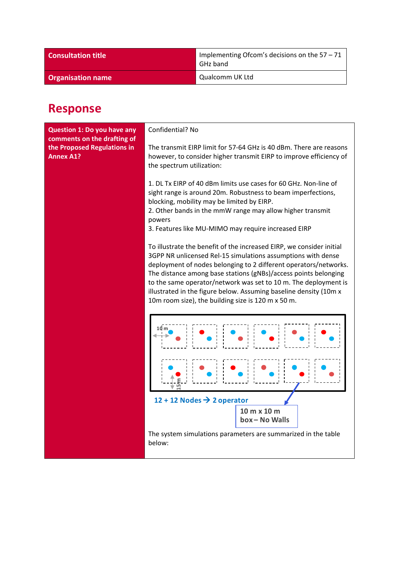| <b>Consultation title</b> | Implementing Ofcom's decisions on the $57 - 71$<br>GHz band |
|---------------------------|-------------------------------------------------------------|
| <b>Organisation name</b>  | Qualcomm UK Ltd                                             |

## **Response**

| <b>Question 1: Do you have any</b><br>comments on the drafting of | Confidential? No                                                                                                                                                                                                                                                                                                                                                                                                                                                          |
|-------------------------------------------------------------------|---------------------------------------------------------------------------------------------------------------------------------------------------------------------------------------------------------------------------------------------------------------------------------------------------------------------------------------------------------------------------------------------------------------------------------------------------------------------------|
| the Proposed Regulations in<br><b>Annex A1?</b>                   | The transmit EIRP limit for 57-64 GHz is 40 dBm. There are reasons<br>however, to consider higher transmit EIRP to improve efficiency of<br>the spectrum utilization:                                                                                                                                                                                                                                                                                                     |
|                                                                   | 1. DL Tx EIRP of 40 dBm limits use cases for 60 GHz. Non-line of<br>sight range is around 20m. Robustness to beam imperfections,<br>blocking, mobility may be limited by EIRP.<br>2. Other bands in the mmW range may allow higher transmit<br>powers<br>3. Features like MU-MIMO may require increased EIRP                                                                                                                                                              |
|                                                                   | To illustrate the benefit of the increased EIRP, we consider initial<br>3GPP NR unlicensed Rel-15 simulations assumptions with dense<br>deployment of nodes belonging to 2 different operators/networks.<br>The distance among base stations (gNBs)/access points belonging<br>to the same operator/network was set to 10 m. The deployment is<br>illustrated in the figure below. Assuming baseline density (10m x<br>10m room size), the building size is 120 m x 50 m. |
|                                                                   | 10 m                                                                                                                                                                                                                                                                                                                                                                                                                                                                      |
|                                                                   | 12 + 12 Nodes $\rightarrow$ 2 operator                                                                                                                                                                                                                                                                                                                                                                                                                                    |
|                                                                   | 10 m x 10 m<br>box-No Walls                                                                                                                                                                                                                                                                                                                                                                                                                                               |
|                                                                   | The system simulations parameters are summarized in the table<br>below:                                                                                                                                                                                                                                                                                                                                                                                                   |